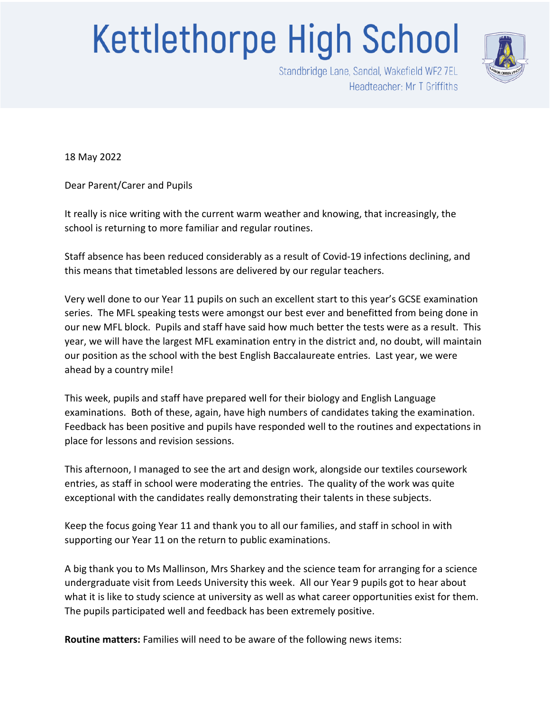## **Kettlethorpe High School**



Standbridge Lane, Sandal, Wakefield WF2 7EL Headteacher: Mr T Griffiths

18 May 2022

Dear Parent/Carer and Pupils

It really is nice writing with the current warm weather and knowing, that increasingly, the school is returning to more familiar and regular routines.

Staff absence has been reduced considerably as a result of Covid-19 infections declining, and this means that timetabled lessons are delivered by our regular teachers.

Very well done to our Year 11 pupils on such an excellent start to this year's GCSE examination series. The MFL speaking tests were amongst our best ever and benefitted from being done in our new MFL block. Pupils and staff have said how much better the tests were as a result. This year, we will have the largest MFL examination entry in the district and, no doubt, will maintain our position as the school with the best English Baccalaureate entries. Last year, we were ahead by a country mile!

This week, pupils and staff have prepared well for their biology and English Language examinations. Both of these, again, have high numbers of candidates taking the examination. Feedback has been positive and pupils have responded well to the routines and expectations in place for lessons and revision sessions.

This afternoon, I managed to see the art and design work, alongside our textiles coursework entries, as staff in school were moderating the entries. The quality of the work was quite exceptional with the candidates really demonstrating their talents in these subjects.

Keep the focus going Year 11 and thank you to all our families, and staff in school in with supporting our Year 11 on the return to public examinations.

A big thank you to Ms Mallinson, Mrs Sharkey and the science team for arranging for a science undergraduate visit from Leeds University this week. All our Year 9 pupils got to hear about what it is like to study science at university as well as what career opportunities exist for them. The pupils participated well and feedback has been extremely positive.

**Routine matters:** Families will need to be aware of the following news items: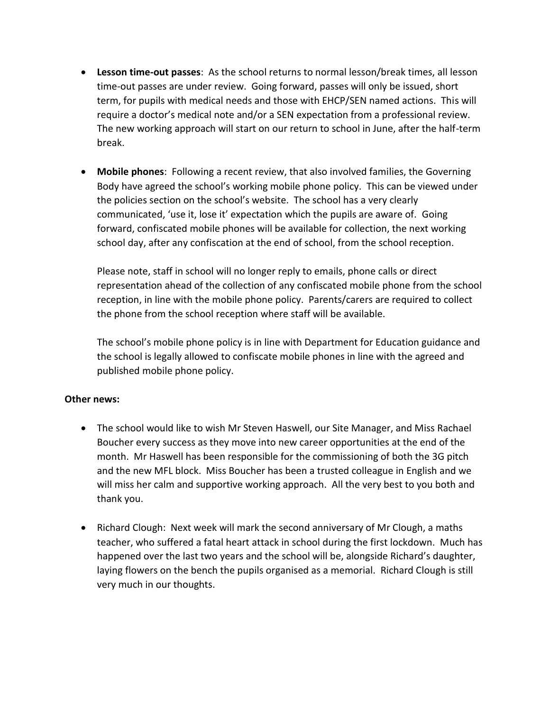- **Lesson time-out passes**: As the school returns to normal lesson/break times, all lesson time-out passes are under review. Going forward, passes will only be issued, short term, for pupils with medical needs and those with EHCP/SEN named actions. This will require a doctor's medical note and/or a SEN expectation from a professional review. The new working approach will start on our return to school in June, after the half-term break.
- **Mobile phones**: Following a recent review, that also involved families, the Governing Body have agreed the school's working mobile phone policy. This can be viewed under the policies section on the school's website. The school has a very clearly communicated, 'use it, lose it' expectation which the pupils are aware of. Going forward, confiscated mobile phones will be available for collection, the next working school day, after any confiscation at the end of school, from the school reception.

Please note, staff in school will no longer reply to emails, phone calls or direct representation ahead of the collection of any confiscated mobile phone from the school reception, in line with the mobile phone policy. Parents/carers are required to collect the phone from the school reception where staff will be available.

The school's mobile phone policy is in line with Department for Education guidance and the school is legally allowed to confiscate mobile phones in line with the agreed and published mobile phone policy.

## **Other news:**

- The school would like to wish Mr Steven Haswell, our Site Manager, and Miss Rachael Boucher every success as they move into new career opportunities at the end of the month. Mr Haswell has been responsible for the commissioning of both the 3G pitch and the new MFL block. Miss Boucher has been a trusted colleague in English and we will miss her calm and supportive working approach. All the very best to you both and thank you.
- Richard Clough: Next week will mark the second anniversary of Mr Clough, a maths teacher, who suffered a fatal heart attack in school during the first lockdown. Much has happened over the last two years and the school will be, alongside Richard's daughter, laying flowers on the bench the pupils organised as a memorial. Richard Clough is still very much in our thoughts.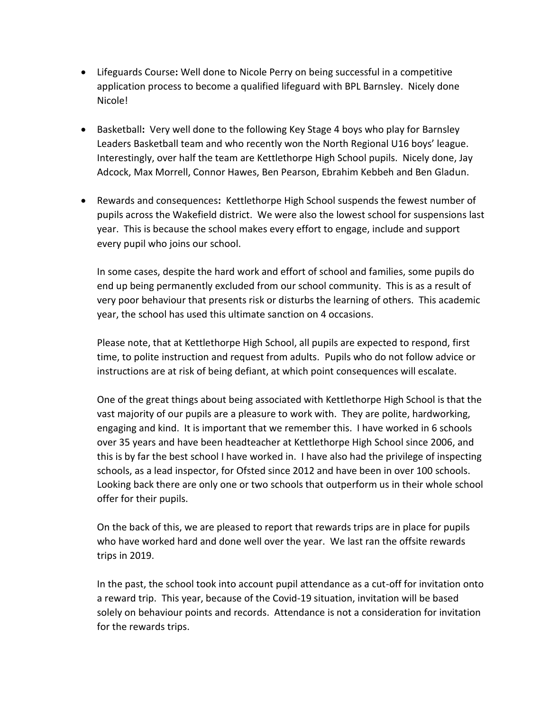- Lifeguards Course**:** Well done to Nicole Perry on being successful in a competitive application process to become a qualified lifeguard with BPL Barnsley. Nicely done Nicole!
- Basketball**:** Very well done to the following Key Stage 4 boys who play for Barnsley Leaders Basketball team and who recently won the North Regional U16 boys' league. Interestingly, over half the team are Kettlethorpe High School pupils. Nicely done, Jay Adcock, Max Morrell, Connor Hawes, Ben Pearson, Ebrahim Kebbeh and Ben Gladun.
- Rewards and consequences**:** Kettlethorpe High School suspends the fewest number of pupils across the Wakefield district. We were also the lowest school for suspensions last year. This is because the school makes every effort to engage, include and support every pupil who joins our school.

In some cases, despite the hard work and effort of school and families, some pupils do end up being permanently excluded from our school community. This is as a result of very poor behaviour that presents risk or disturbs the learning of others. This academic year, the school has used this ultimate sanction on 4 occasions.

Please note, that at Kettlethorpe High School, all pupils are expected to respond, first time, to polite instruction and request from adults. Pupils who do not follow advice or instructions are at risk of being defiant, at which point consequences will escalate.

One of the great things about being associated with Kettlethorpe High School is that the vast majority of our pupils are a pleasure to work with. They are polite, hardworking, engaging and kind. It is important that we remember this. I have worked in 6 schools over 35 years and have been headteacher at Kettlethorpe High School since 2006, and this is by far the best school I have worked in. I have also had the privilege of inspecting schools, as a lead inspector, for Ofsted since 2012 and have been in over 100 schools. Looking back there are only one or two schools that outperform us in their whole school offer for their pupils.

On the back of this, we are pleased to report that rewards trips are in place for pupils who have worked hard and done well over the year. We last ran the offsite rewards trips in 2019.

In the past, the school took into account pupil attendance as a cut-off for invitation onto a reward trip. This year, because of the Covid-19 situation, invitation will be based solely on behaviour points and records. Attendance is not a consideration for invitation for the rewards trips.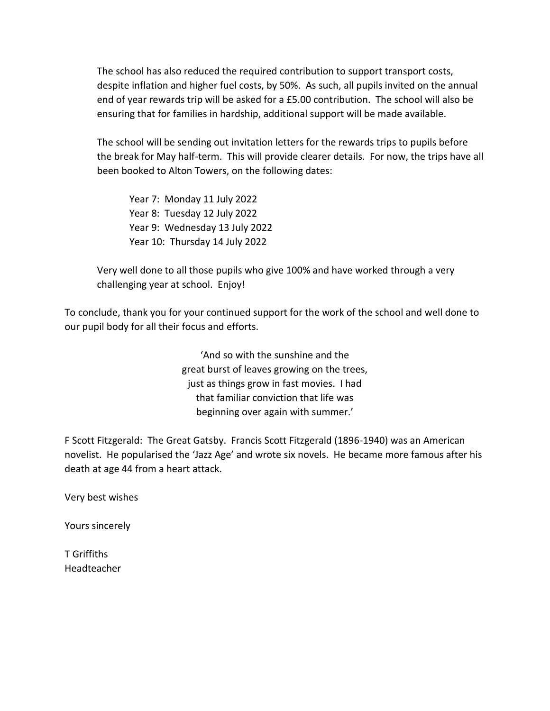The school has also reduced the required contribution to support transport costs, despite inflation and higher fuel costs, by 50%. As such, all pupils invited on the annual end of year rewards trip will be asked for a £5.00 contribution. The school will also be ensuring that for families in hardship, additional support will be made available.

The school will be sending out invitation letters for the rewards trips to pupils before the break for May half-term. This will provide clearer details. For now, the trips have all been booked to Alton Towers, on the following dates:

Year 7: Monday 11 July 2022 Year 8: Tuesday 12 July 2022 Year 9: Wednesday 13 July 2022 Year 10: Thursday 14 July 2022

Very well done to all those pupils who give 100% and have worked through a very challenging year at school. Enjoy!

To conclude, thank you for your continued support for the work of the school and well done to our pupil body for all their focus and efforts.

> 'And so with the sunshine and the great burst of leaves growing on the trees, just as things grow in fast movies. I had that familiar conviction that life was beginning over again with summer.'

F Scott Fitzgerald: The Great Gatsby. Francis Scott Fitzgerald (1896-1940) was an American novelist. He popularised the 'Jazz Age' and wrote six novels. He became more famous after his death at age 44 from a heart attack.

Very best wishes

Yours sincerely

T Griffiths Headteacher